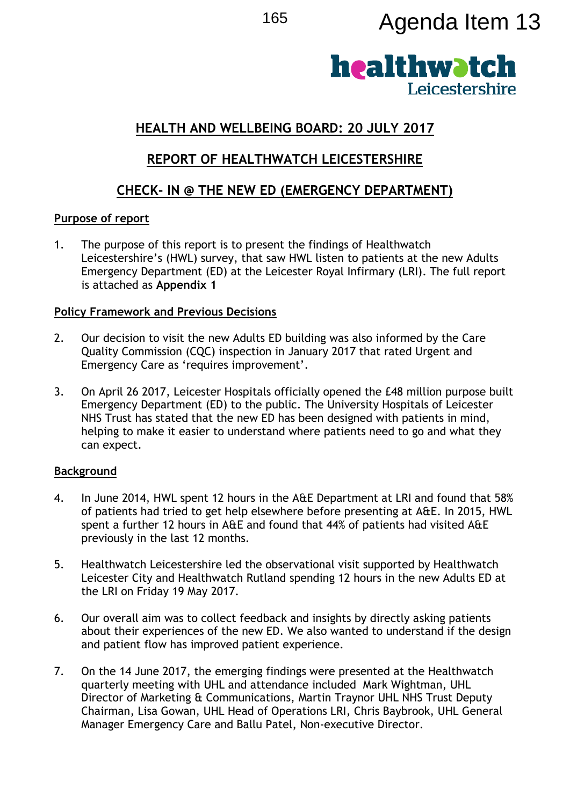# <sup>165</sup> Agenda Item 13



## **HEALTH AND WELLBEING BOARD: 20 JULY 2017**

# **REPORT OF HEALTHWATCH LEICESTERSHIRE**

# **CHECK- IN @ THE NEW ED (EMERGENCY DEPARTMENT)**

## **Purpose of report**

1. The purpose of this report is to present the findings of Healthwatch Leicestershire's (HWL) survey, that saw HWL listen to patients at the new Adults Emergency Department (ED) at the Leicester Royal Infirmary (LRI). The full report is attached as **Appendix 1**

## **Policy Framework and Previous Decisions**

- 2. Our decision to visit the new Adults ED building was also informed by the Care Quality Commission (CQC) inspection in January 2017 that rated Urgent and Emergency Care as 'requires improvement'.
- 3. On April 26 2017, Leicester Hospitals officially opened the £48 million purpose built Emergency Department (ED) to the public. The University Hospitals of Leicester NHS Trust has stated that the new ED has been designed with patients in mind, helping to make it easier to understand where patients need to go and what they can expect.

#### **Background**

- 4. In June 2014, HWL spent 12 hours in the A&E Department at LRI and found that 58% of patients had tried to get help elsewhere before presenting at A&E. In 2015, HWL spent a further 12 hours in A&E and found that 44% of patients had visited A&E previously in the last 12 months.
- 5. Healthwatch Leicestershire led the observational visit supported by Healthwatch Leicester City and Healthwatch Rutland spending 12 hours in the new Adults ED at the LRI on Friday 19 May 2017.
- 6. Our overall aim was to collect feedback and insights by directly asking patients about their experiences of the new ED. We also wanted to understand if the design and patient flow has improved patient experience.
- 7. On the 14 June 2017, the emerging findings were presented at the Healthwatch quarterly meeting with UHL and attendance included Mark Wightman, UHL Director of Marketing & Communications, Martin Traynor UHL NHS Trust Deputy Chairman, Lisa Gowan, UHL Head of Operations LRI, Chris Baybrook, UHL General Manager Emergency Care and Ballu Patel, Non-executive Director.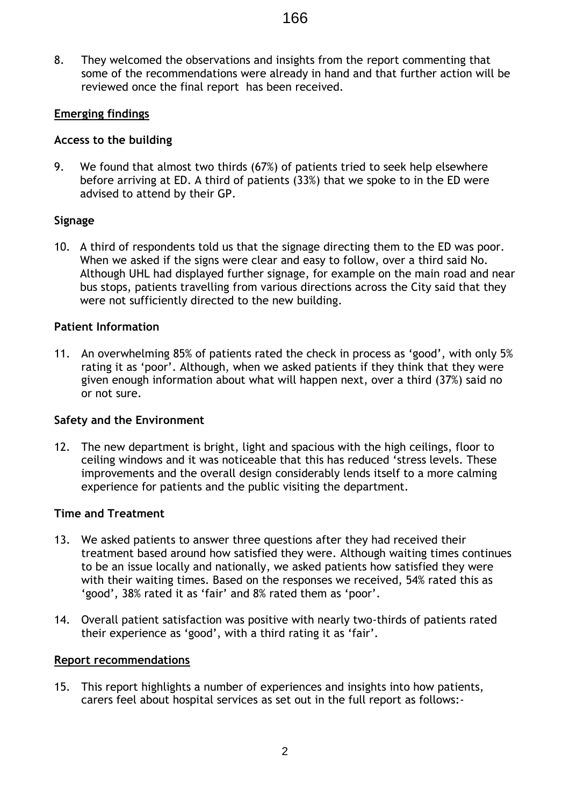8. They welcomed the observations and insights from the report commenting that some of the recommendations were already in hand and that further action will be reviewed once the final report has been received.

## **Emerging findings**

#### **Access to the building**

9. We found that almost two thirds (67%) of patients tried to seek help elsewhere before arriving at ED. A third of patients (33%) that we spoke to in the ED were advised to attend by their GP.

#### **Signage**

10. A third of respondents told us that the signage directing them to the ED was poor. When we asked if the signs were clear and easy to follow, over a third said No. Although UHL had displayed further signage, for example on the main road and near bus stops, patients travelling from various directions across the City said that they were not sufficiently directed to the new building.

#### **Patient Information**

11. An overwhelming 85% of patients rated the check in process as 'good', with only 5% rating it as 'poor'. Although, when we asked patients if they think that they were given enough information about what will happen next, over a third (37%) said no or not sure.

#### **Safety and the Environment**

12. The new department is bright, light and spacious with the high ceilings, floor to ceiling windows and it was noticeable that this has reduced 'stress levels. These improvements and the overall design considerably lends itself to a more calming experience for patients and the public visiting the department.

#### **Time and Treatment**

- 13. We asked patients to answer three questions after they had received their treatment based around how satisfied they were. Although waiting times continues to be an issue locally and nationally, we asked patients how satisfied they were with their waiting times. Based on the responses we received, 54% rated this as 'good', 38% rated it as 'fair' and 8% rated them as 'poor'.
- 14. Overall patient satisfaction was positive with nearly two-thirds of patients rated their experience as 'good', with a third rating it as 'fair'.

#### **Report recommendations**

15. This report highlights a number of experiences and insights into how patients, carers feel about hospital services as set out in the full report as follows:-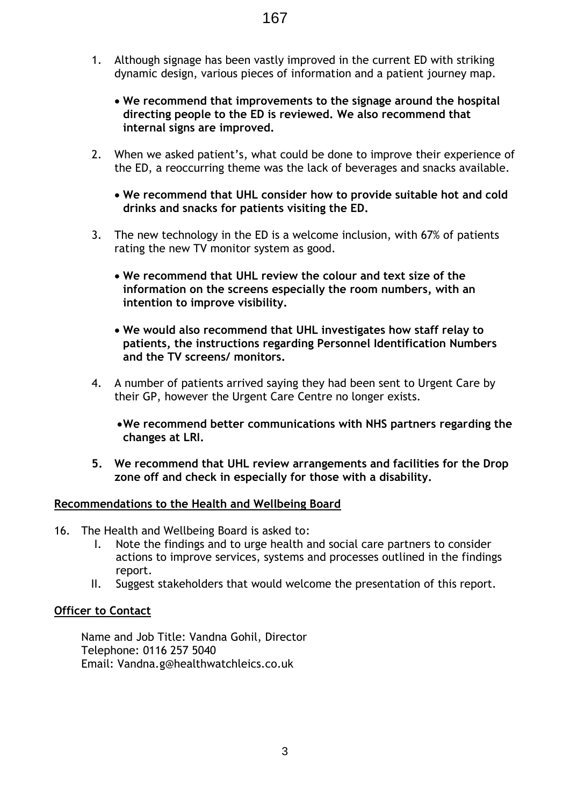- 1. Although signage has been vastly improved in the current ED with striking dynamic design, various pieces of information and a patient journey map.
	- **We recommend that improvements to the signage around the hospital directing people to the ED is reviewed. We also recommend that internal signs are improved.**
- 2. When we asked patient's, what could be done to improve their experience of the ED, a reoccurring theme was the lack of beverages and snacks available.
	- **We recommend that UHL consider how to provide suitable hot and cold drinks and snacks for patients visiting the ED.**
- 3. The new technology in the ED is a welcome inclusion, with 67% of patients rating the new TV monitor system as good.
	- **We recommend that UHL review the colour and text size of the information on the screens especially the room numbers, with an intention to improve visibility.**
	- **We would also recommend that UHL investigates how staff relay to patients, the instructions regarding Personnel Identification Numbers and the TV screens/ monitors.**
- 4. A number of patients arrived saying they had been sent to Urgent Care by their GP, however the Urgent Care Centre no longer exists.
	- **We recommend better communications with NHS partners regarding the changes at LRI.**
- **5. We recommend that UHL review arrangements and facilities for the Drop zone off and check in especially for those with a disability.**

#### **Recommendations to the Health and Wellbeing Board**

- 16. The Health and Wellbeing Board is asked to:
	- I. Note the findings and to urge health and social care partners to consider actions to improve services, systems and processes outlined in the findings report.
	- II. Suggest stakeholders that would welcome the presentation of this report.

## **Officer to Contact**

Name and Job Title: Vandna Gohil, Director Telephone: 0116 257 5040 Email: Vandna.g@healthwatchleics.co.uk